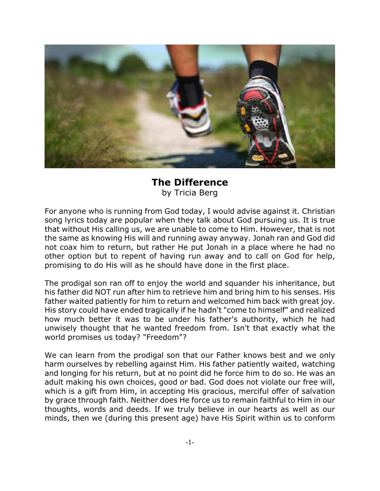

## **The Difference** by Tricia Berg

For anyone who is running from God today, I would advise against it. Christian song lyrics today are popular when they talk about God pursuing us. It is true that without His calling us, we are unable to come to Him. However, that is not the same as knowing His will and running away anyway. Jonah ran and God did not coax him to return, but rather He put Jonah in a place where he had no other option but to repent of having run away and to call on God for help, promising to do His will as he should have done in the first place.

The prodigal son ran off to enjoy the world and squander his inheritance, but his father did NOT run after him to retrieve him and bring him to his senses. His father waited patiently for him to return and welcomed him back with great joy. His story could have ended tragically if he hadn't "come to himself" and realized how much better it was to be under his father's authority, which he had unwisely thought that he wanted freedom from. Isn't that exactly what the world promises us today? "Freedom"?

We can learn from the prodigal son that our Father knows best and we only harm ourselves by rebelling against Him. His father patiently waited, watching and longing for his return, but at no point did he force him to do so. He was an adult making his own choices, good or bad. God does not violate our free will, which is a gift from Him, in accepting His gracious, merciful offer of salvation by grace through faith. Neither does He force us to remain faithful to Him in our thoughts, words and deeds. If we truly believe in our hearts as well as our minds, then we (during this present age) have His Spirit within us to conform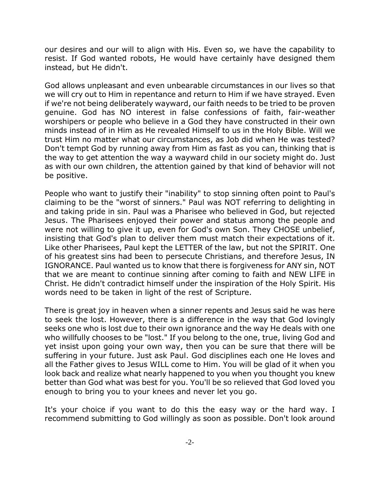our desires and our will to align with His. Even so, we have the capability to resist. If God wanted robots, He would have certainly have designed them instead, but He didn't.

God allows unpleasant and even unbearable circumstances in our lives so that we will cry out to Him in repentance and return to Him if we have strayed. Even if we're not being deliberately wayward, our faith needs to be tried to be proven genuine. God has NO interest in false confessions of faith, fair-weather worshipers or people who believe in a God they have constructed in their own minds instead of in Him as He revealed Himself to us in the Holy Bible. Will we trust Him no matter what our circumstances, as Job did when He was tested? Don't tempt God by running away from Him as fast as you can, thinking that is the way to get attention the way a wayward child in our society might do. Just as with our own children, the attention gained by that kind of behavior will not be positive.

People who want to justify their "inability" to stop sinning often point to Paul's claiming to be the "worst of sinners." Paul was NOT referring to delighting in and taking pride in sin. Paul was a Pharisee who believed in God, but rejected Jesus. The Pharisees enjoyed their power and status among the people and were not willing to give it up, even for God's own Son. They CHOSE unbelief, insisting that God's plan to deliver them must match their expectations of it. Like other Pharisees, Paul kept the LETTER of the law, but not the SPIRIT. One of his greatest sins had been to persecute Christians, and therefore Jesus, IN IGNORANCE. Paul wanted us to know that there is forgiveness for ANY sin, NOT that we are meant to continue sinning after coming to faith and NEW LIFE in Christ. He didn't contradict himself under the inspiration of the Holy Spirit. His words need to be taken in light of the rest of Scripture.

There is great joy in heaven when a sinner repents and Jesus said he was here to seek the lost. However, there is a difference in the way that God lovingly seeks one who is lost due to their own ignorance and the way He deals with one who willfully chooses to be "lost." If you belong to the one, true, living God and yet insist upon going your own way, then you can be sure that there will be suffering in your future. Just ask Paul. God disciplines each one He loves and all the Father gives to Jesus WILL come to Him. You will be glad of it when you look back and realize what nearly happened to you when you thought you knew better than God what was best for you. You'll be so relieved that God loved you enough to bring you to your knees and never let you go.

It's your choice if you want to do this the easy way or the hard way. I recommend submitting to God willingly as soon as possible. Don't look around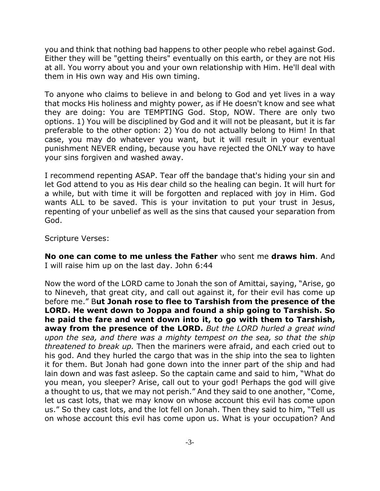you and think that nothing bad happens to other people who rebel against God. Either they will be "getting theirs" eventually on this earth, or they are not His at all. You worry about you and your own relationship with Him. He'll deal with them in His own way and His own timing.

To anyone who claims to believe in and belong to God and yet lives in a way that mocks His holiness and mighty power, as if He doesn't know and see what they are doing: You are TEMPTING God. Stop, NOW. There are only two options. 1) You will be disciplined by God and it will not be pleasant, but it is far preferable to the other option: 2) You do not actually belong to Him! In that case, you may do whatever you want, but it will result in your eventual punishment NEVER ending, because you have rejected the ONLY way to have your sins forgiven and washed away.

I recommend repenting ASAP. Tear off the bandage that's hiding your sin and let God attend to you as His dear child so the healing can begin. It will hurt for a while, but with time it will be forgotten and replaced with joy in Him. God wants ALL to be saved. This is your invitation to put your trust in Jesus, repenting of your unbelief as well as the sins that caused your separation from God.

Scripture Verses:

**No one can come to me unless the Father** who sent me **draws him**. And I will raise him up on the last day. John 6:44

Now the word of the LORD came to Jonah the son of Amittai, saying, "Arise, go to Nineveh, that great city, and call out against it, for their evil has come up before me." B**ut Jonah rose to flee to Tarshish from the presence of the LORD. He went down to Joppa and found a ship going to Tarshish. So he paid the fare and went down into it, to go with them to Tarshish, away from the presence of the LORD.** *But the LORD hurled a great wind upon the sea, and there was a mighty tempest on the sea, so that the ship threatened to break up.* Then the mariners were afraid, and each cried out to his god. And they hurled the cargo that was in the ship into the sea to lighten it for them. But Jonah had gone down into the inner part of the ship and had lain down and was fast asleep. So the captain came and said to him, "What do you mean, you sleeper? Arise, call out to your god! Perhaps the god will give a thought to us, that we may not perish." And they said to one another, "Come, let us cast lots, that we may know on whose account this evil has come upon us." So they cast lots, and the lot fell on Jonah. Then they said to him, "Tell us on whose account this evil has come upon us. What is your occupation? And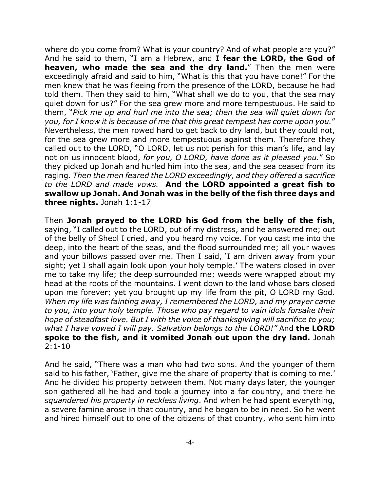where do you come from? What is your country? And of what people are you?" And he said to them, "I am a Hebrew, and **I fear the LORD, the God of heaven, who made the sea and the dry land.**" Then the men were exceedingly afraid and said to him, "What is this that you have done!" For the men knew that he was fleeing from the presence of the LORD, because he had told them. Then they said to him, "What shall we do to you, that the sea may quiet down for us?" For the sea grew more and more tempestuous. He said to them, "*Pick me up and hurl me into the sea; then the sea will quiet down for you, for I know it is because of me that this great tempest has come upon you.*" Nevertheless, the men rowed hard to get back to dry land, but they could not, for the sea grew more and more tempestuous against them. Therefore they called out to the LORD, "O LORD, let us not perish for this man's life, and lay not on us innocent blood, *for you, O LORD, have done as it pleased you.*" So they picked up Jonah and hurled him into the sea, and the sea ceased from its raging. *Then the men feared the LORD exceedingly, and they offered a sacrifice to the LORD and made vows.* **And the LORD appointed a great fish to swallow up Jonah. And Jonah was in the belly of the fish three days and three nights.** Jonah 1:1-17

Then **Jonah prayed to the LORD his God from the belly of the fish**, saying, "I called out to the LORD, out of my distress, and he answered me; out of the belly of Sheol I cried, and you heard my voice. For you cast me into the deep, into the heart of the seas, and the flood surrounded me; all your waves and your billows passed over me. Then I said, 'I am driven away from your sight; yet I shall again look upon your holy temple.' The waters closed in over me to take my life; the deep surrounded me; weeds were wrapped about my head at the roots of the mountains. I went down to the land whose bars closed upon me forever; yet you brought up my life from the pit, O LORD my God. *When my life was fainting away, I remembered the LORD, and my prayer came to you, into your holy temple. Those who pay regard to vain idols forsake their hope of steadfast love. But I with the voice of thanksgiving will sacrifice to you; what I have vowed I will pay. Salvation belongs to the LORD!"* And **the LORD spoke to the fish, and it vomited Jonah out upon the dry land.** Jonah  $2:1-10$ 

And he said, "There was a man who had two sons. And the younger of them said to his father, 'Father, give me the share of property that is coming to me.' And he divided his property between them. Not many days later, the younger son gathered all he had and took a journey into a far country, and there he *squandered his property in reckless living*. And when he had spent everything, a severe famine arose in that country, and he began to be in need. So he went and hired himself out to one of the citizens of that country, who sent him into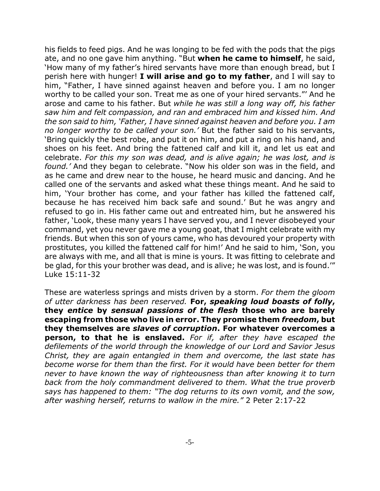his fields to feed pigs. And he was longing to be fed with the pods that the pigs ate, and no one gave him anything. "But **when he came to himself**, he said, 'How many of my father's hired servants have more than enough bread, but I perish here with hunger! **I will arise and go to my father**, and I will say to him, "Father, I have sinned against heaven and before you. I am no longer worthy to be called your son. Treat me as one of your hired servants."' And he arose and came to his father. But *while he was still a long way off, his father saw him and felt compassion, and ran and embraced him and kissed him. And the son said to him, 'Father, I have sinned against heaven and before you. I am no longer worthy to be called your son.'* But the father said to his servants, 'Bring quickly the best robe, and put it on him, and put a ring on his hand, and shoes on his feet. And bring the fattened calf and kill it, and let us eat and celebrate. *For this my son was dead, and is alive again; he was lost, and is found.'* And they began to celebrate. "Now his older son was in the field, and as he came and drew near to the house, he heard music and dancing. And he called one of the servants and asked what these things meant. And he said to him, 'Your brother has come, and your father has killed the fattened calf, because he has received him back safe and sound.' But he was angry and refused to go in. His father came out and entreated him, but he answered his father, 'Look, these many years I have served you, and I never disobeyed your command, yet you never gave me a young goat, that I might celebrate with my friends. But when this son of yours came, who has devoured your property with prostitutes, you killed the fattened calf for him!' And he said to him, 'Son, you are always with me, and all that is mine is yours. It was fitting to celebrate and be glad, for this your brother was dead, and is alive; he was lost, and is found.'" Luke 15:11-32

These are waterless springs and mists driven by a storm. *For them the gloom of utter darkness has been reserved.* **For,** *speaking loud boasts of folly***, they** *entice* **by** *sensual passions of the flesh* **those who are barely escaping from those who live in error. They promise them** *freedom***, but they themselves are** *slaves of corruption***. For whatever overcomes a person, to that he is enslaved.** *For if, after they have escaped the defilements of the world through the knowledge of our Lord and Savior Jesus Christ, they are again entangled in them and overcome, the last state has become worse for them than the first. For it would have been better for them never to have known the way of righteousness than after knowing it to turn back from the holy commandment delivered to them. What the true proverb says has happened to them: "The dog returns to its own vomit, and the sow, after washing herself, returns to wallow in the mire."* 2 Peter 2:17-22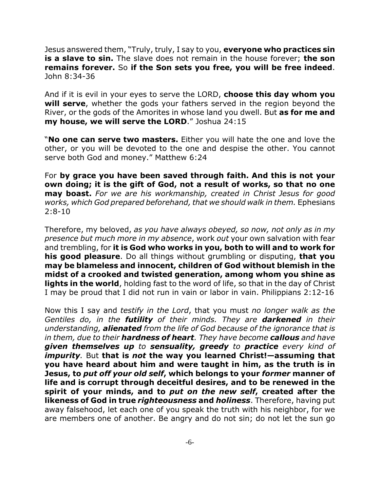Jesus answered them, "Truly, truly, I say to you, **everyone who practices sin is a slave to sin.** The slave does not remain in the house forever; **the son remains forever.** So **if the Son sets you free, you will be free indeed**. John 8:34-36

And if it is evil in your eyes to serve the LORD, **choose this day whom you will serve**, whether the gods your fathers served in the region beyond the River, or the gods of the Amorites in whose land you dwell. But **as for me and my house, we will serve the LORD**." Joshua 24:15

"**No one can serve two masters.** Either you will hate the one and love the other, or you will be devoted to the one and despise the other. You cannot serve both God and money." Matthew 6:24

For **by grace you have been saved through faith. And this is not your own doing; it is the gift of God, not a result of works, so that no one may boast.** *For we are his workmanship, created in Christ Jesus for good works, which God prepared beforehand, that we should walk in them.* Ephesians  $2:8-10$ 

Therefore, my beloved, *as you have always obeyed, so now, not only as in my presence but much more in my absence*, work *out* your own salvation with fear and trembling, for **it is God who works in you, both to will and to work for his good pleasure**. Do all things without grumbling or disputing, **that you may be blameless and innocent, children of God without blemish in the midst of a crooked and twisted generation, among whom you shine as lights in the world**, holding fast to the word of life, so that in the day of Christ I may be proud that I did not run in vain or labor in vain. Philippians 2:12-16

Now this I say and *testify in the Lord*, that you must *no longer walk as the Gentiles do, in the futility of their minds. They are darkened in their understanding, alienated from the life of God because of the ignorance that is in them, due to their hardness of heart. They have become callous and have given themselves up to sensuality, greedy to practice every kind of impurity.* But **that is** *not* **the way you learned Christ!—assuming that you have heard about him and were taught in him, as the truth is in Jesus, to** *put off your old self***, which belongs to your** *former* **manner of life and is corrupt through deceitful desires, and to be renewed in the spirit of your minds, and to** *put on the new self***, created after the likeness of God in true** *righteousness* **and** *holiness*. Therefore, having put away falsehood, let each one of you speak the truth with his neighbor, for we are members one of another. Be angry and do not sin; do not let the sun go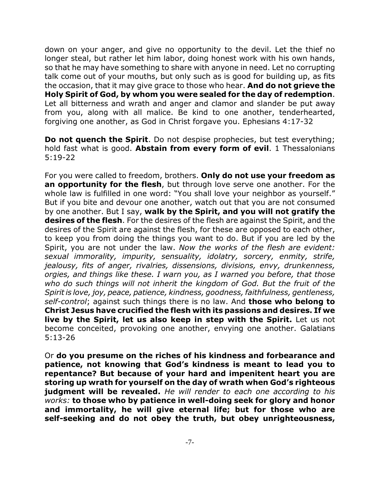down on your anger, and give no opportunity to the devil. Let the thief no longer steal, but rather let him labor, doing honest work with his own hands, so that he may have something to share with anyone in need. Let no corrupting talk come out of your mouths, but only such as is good for building up, as fits the occasion, that it may give grace to those who hear. **And do not grieve the Holy Spirit of God, by whom you were sealed for the day of redemption**. Let all bitterness and wrath and anger and clamor and slander be put away from you, along with all malice. Be kind to one another, tenderhearted, forgiving one another, as God in Christ forgave you. Ephesians 4:17-32

**Do not quench the Spirit**. Do not despise prophecies, but test everything; hold fast what is good. **Abstain from every form of evil**. 1 Thessalonians 5:19-22

For you were called to freedom, brothers. **Only do not use your freedom as an opportunity for the flesh**, but through love serve one another. For the whole law is fulfilled in one word: "You shall love your neighbor as yourself." But if you bite and devour one another, watch out that you are not consumed by one another. But I say, **walk by the Spirit, and you will not gratify the desires of the flesh**. For the desires of the flesh are against the Spirit, and the desires of the Spirit are against the flesh, for these are opposed to each other, to keep you from doing the things you want to do. But if you are led by the Spirit, you are not under the law. *Now the works of the flesh are evident: sexual immorality, impurity, sensuality, idolatry, sorcery, enmity, strife, jealousy, fits of anger, rivalries, dissensions, divisions, envy, drunkenness, orgies, and things like these. I warn you, as I warned you before, that those who do such things will not inherit the kingdom of God. But the fruit of the Spirit is love, joy, peace, patience, kindness, goodness, faithfulness, gentleness, self-control*; against such things there is no law. And **those who belong to Christ Jesus have crucified the flesh with its passions and desires. If we live by the Spirit, let us also keep in step with the Spirit.** Let us not become conceited, provoking one another, envying one another. Galatians 5:13-26

Or **do you presume on the riches of his kindness and forbearance and patience, not knowing that God's kindness is meant to lead you to repentance? But because of your hard and impenitent heart you are storing up wrath for yourself on the day of wrath when God's righteous judgment will be revealed.** *He will render to each one according to his works:* **to those who by patience in well-doing seek for glory and honor and immortality, he will give eternal life; but for those who are self-seeking and do not obey the truth, but obey unrighteousness,**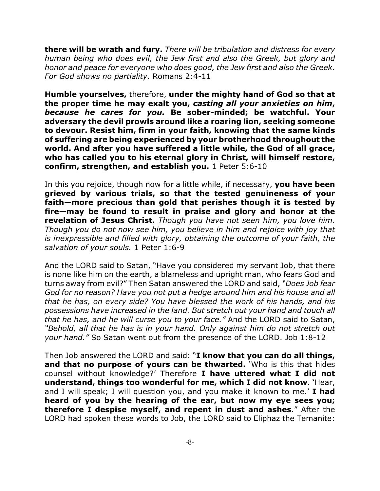**there will be wrath and fury.** *There will be tribulation and distress for every human being who does evil, the Jew first and also the Greek, but glory and honor and peace for everyone who does good, the Jew first and also the Greek. For God shows no partiality.* Romans 2:4-11

**Humble yourselves,** therefore, **under the mighty hand of God so that at the proper time he may exalt you,** *casting all your anxieties on him***,** *because he cares for you.* **Be sober-minded; be watchful. Your adversary the devil prowls around like a roaring lion, seeking someone to devour. Resist him, firm in your faith, knowing that the same kinds of suffering are being experienced by your brotherhood throughout the world. And after you have suffered a little while, the God of all grace, who has called you to his eternal glory in Christ, will himself restore, confirm, strengthen, and establish you.** 1 Peter 5:6-10

In this you rejoice, though now for a little while, if necessary, **you have been grieved by various trials, so that the tested genuineness of your faith—more precious than gold that perishes though it is tested by fire—may be found to result in praise and glory and honor at the revelation of Jesus Christ.** *Though you have not seen him, you love him. Though you do not now see him, you believe in him and rejoice with joy that is inexpressible and filled with glory, obtaining the outcome of your faith, the salvation of your souls.* 1 Peter 1:6-9

And the LORD said to Satan, "Have you considered my servant Job, that there is none like him on the earth, a blameless and upright man, who fears God and turns away from evil?" Then Satan answered the LORD and said, *"Does Job fear God for no reason? Have you not put a hedge around him and his house and all that he has, on every side? You have blessed the work of his hands, and his possessions have increased in the land. But stretch out your hand and touch all that he has, and he will curse you to your face."* And the LORD said to Satan, *"Behold, all that he has is in your hand. Only against him do not stretch out your hand."* So Satan went out from the presence of the LORD. Job 1:8-12

Then Job answered the LORD and said: "**I know that you can do all things, and that no purpose of yours can be thwarted.** 'Who is this that hides counsel without knowledge?' Therefore **I have uttered what I did not understand, things too wonderful for me, which I did not know**. 'Hear, and I will speak; I will question you, and you make it known to me.' **I had heard of you by the hearing of the ear, but now my eye sees you; therefore I despise myself, and repent in dust and ashes**." After the LORD had spoken these words to Job, the LORD said to Eliphaz the Temanite: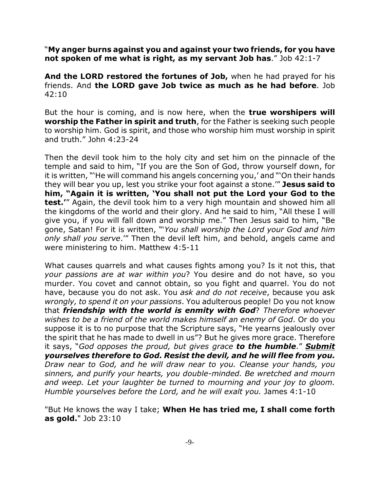"**My anger burns against you and against your two friends, for you have not spoken of me what is right, as my servant Job has**." Job 42:1-7

**And the LORD restored the fortunes of Job,** when he had prayed for his friends. And **the LORD gave Job twice as much as he had before**. Job 42:10

But the hour is coming, and is now here, when the **true worshipers will worship the Father in spirit and truth**, for the Father is seeking such people to worship him. God is spirit, and those who worship him must worship in spirit and truth." John 4:23-24

Then the devil took him to the holy city and set him on the pinnacle of the temple and said to him, "If you are the Son of God, throw yourself down, for it is written, "'He will command his angels concerning you,' and "'On their hands they will bear you up, lest you strike your foot against a stone.'" **Jesus said to him, "Again it is written, 'You shall not put the Lord your God to the test.'**" Again, the devil took him to a very high mountain and showed him all the kingdoms of the world and their glory. And he said to him, "All these I will give you, if you will fall down and worship me." Then Jesus said to him, "Be gone, Satan! For it is written, "'*You shall worship the Lord your God and him only shall you serve*.'" Then the devil left him, and behold, angels came and were ministering to him. Matthew 4:5-11

What causes quarrels and what causes fights among you? Is it not this, that *your passions are at war within you*? You desire and do not have, so you murder. You covet and cannot obtain, so you fight and quarrel. You do not have, because you do not ask. You *ask and do not receive*, because you ask *wrongly, to spend it on your passions*. You adulterous people! Do you not know that *friendship with the world is enmity with God*? *Therefore whoever wishes to be a friend of the world makes himself an enemy of God*. Or do you suppose it is to no purpose that the Scripture says, "He yearns jealously over the spirit that he has made to dwell in us"? But he gives more grace. Therefore it says, "*God opposes the proud, but gives grace to the humble*." *Submit yourselves therefore to God. Resist the devil, and he will flee from you. Draw near to God, and he will draw near to you. Cleanse your hands, you sinners, and purify your hearts, you double-minded. Be wretched and mourn and weep. Let your laughter be turned to mourning and your joy to gloom. Humble yourselves before the Lord, and he will exalt you.* James 4:1-10

"But He knows the way I take; **When He has tried me, I shall come forth as gold.**" Job 23:10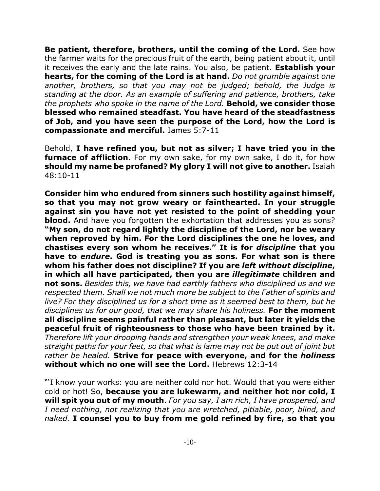**Be patient, therefore, brothers, until the coming of the Lord.** See how the farmer waits for the precious fruit of the earth, being patient about it, until it receives the early and the late rains. You also, be patient. **Establish your hearts, for the coming of the Lord is at hand.** *Do not grumble against one another, brothers, so that you may not be judged; behold, the Judge is standing at the door. As an example of suffering and patience, brothers, take the prophets who spoke in the name of the Lord.* **Behold, we consider those blessed who remained steadfast. You have heard of the steadfastness of Job, and you have seen the purpose of the Lord, how the Lord is compassionate and merciful.** James 5:7-11

Behold, **I have refined you, but not as silver; I have tried you in the furnace of affliction**. For my own sake, for my own sake, I do it, for how **should my name be profaned? My glory I will not give to another.** Isaiah 48:10-11

**Consider him who endured from sinners such hostility against himself, so that you may not grow weary or fainthearted. In your struggle against sin you have not yet resisted to the point of shedding your blood.** And have you forgotten the exhortation that addresses you as sons? **"My son, do not regard lightly the discipline of the Lord, nor be weary when reproved by him. For the Lord disciplines the one he loves, and chastises every son whom he receives." It is for** *discipline* **that you have to** *endure***. God is treating you as sons. For what son is there whom his father does not discipline? If you are** *left without discipline***, in which all have participated, then you are** *illegitimate* **children and not sons.** *Besides this, we have had earthly fathers who disciplined us and we respected them. Shall we not much more be subject to the Father of spirits and live? For they disciplined us for a short time as it seemed best to them, but he disciplines us for our good, that we may share his holiness.* **For the moment all discipline seems painful rather than pleasant, but later it yields the peaceful fruit of righteousness to those who have been trained by it.** *Therefore lift your drooping hands and strengthen your weak knees, and make straight paths for your feet, so that what is lame may not be put out of joint but rather be healed.* **Strive for peace with everyone, and for the** *holiness* **without which no one will see the Lord.** Hebrews 12:3-14

"'I know your works: you are neither cold nor hot. Would that you were either cold or hot! So, **because you are lukewarm, and neither hot nor cold, I will spit you out of my mouth**. *For you say, I am rich, I have prospered, and I need nothing, not realizing that you are wretched, pitiable, poor, blind, and naked.* **I counsel you to buy from me gold refined by fire, so that you**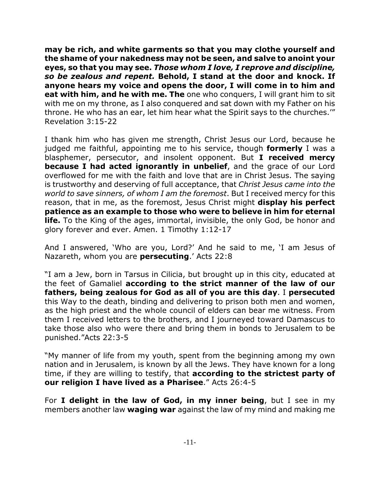**may be rich, and white garments so that you may clothe yourself and the shame of your nakedness may not be seen, and salve to anoint your eyes, so that you may see.** *Those whom I love, I reprove and discipline, so be zealous and repent.* **Behold, I stand at the door and knock. If anyone hears my voice and opens the door, I will come in to him and eat with him, and he with me. The** one who conquers, I will grant him to sit with me on my throne, as I also conquered and sat down with my Father on his throne. He who has an ear, let him hear what the Spirit says to the churches.'" Revelation 3:15-22

I thank him who has given me strength, Christ Jesus our Lord, because he judged me faithful, appointing me to his service, though **formerly** I was a blasphemer, persecutor, and insolent opponent. But **I received mercy because I had acted ignorantly in unbelief**, and the grace of our Lord overflowed for me with the faith and love that are in Christ Jesus. The saying is trustworthy and deserving of full acceptance, that *Christ Jesus came into the world to save sinners, of whom I am the foremost*. But I received mercy for this reason, that in me, as the foremost, Jesus Christ might **display his perfect patience as an example to those who were to believe in him for eternal life.** To the King of the ages, immortal, invisible, the only God, be honor and glory forever and ever. Amen. 1 Timothy 1:12-17

And I answered, 'Who are you, Lord?' And he said to me, 'I am Jesus of Nazareth, whom you are **persecuting**.' Acts 22:8

"I am a Jew, born in Tarsus in Cilicia, but brought up in this city, educated at the feet of Gamaliel **according to the strict manner of the law of our fathers, being zealous for God as all of you are this day**. I **persecuted** this Way to the death, binding and delivering to prison both men and women, as the high priest and the whole council of elders can bear me witness. From them I received letters to the brothers, and I journeyed toward Damascus to take those also who were there and bring them in bonds to Jerusalem to be punished."Acts 22:3-5

"My manner of life from my youth, spent from the beginning among my own nation and in Jerusalem, is known by all the Jews. They have known for a long time, if they are willing to testify, that **according to the strictest party of our religion I have lived as a Pharisee**." Acts 26:4-5

For **I delight in the law of God, in my inner being**, but I see in my members another law **waging war** against the law of my mind and making me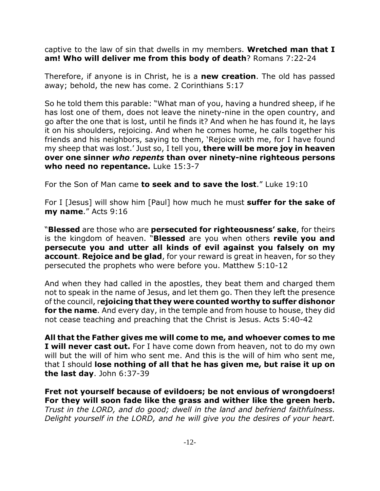captive to the law of sin that dwells in my members. **Wretched man that I am! Who will deliver me from this body of death**? Romans 7:22-24

Therefore, if anyone is in Christ, he is a **new creation**. The old has passed away; behold, the new has come. 2 Corinthians 5:17

So he told them this parable: "What man of you, having a hundred sheep, if he has lost one of them, does not leave the ninety-nine in the open country, and go after the one that is lost, until he finds it? And when he has found it, he lays it on his shoulders, rejoicing. And when he comes home, he calls together his friends and his neighbors, saying to them, 'Rejoice with me, for I have found my sheep that was lost.' Just so, I tell you, **there will be more joy in heaven over one sinner** *who repents* **than over ninety-nine righteous persons who need no repentance.** Luke 15:3-7

For the Son of Man came **to seek and to save the lost**." Luke 19:10

For I [Jesus] will show him [Paul] how much he must **suffer for the sake of my name**." Acts 9:16

"**Blessed** are those who are **persecuted for righteousness' sake**, for theirs is the kingdom of heaven. "**Blessed** are you when others **revile you and persecute you and utter all kinds of evil against you falsely on my account**. **Rejoice and be glad**, for your reward is great in heaven, for so they persecuted the prophets who were before you. Matthew 5:10-12

And when they had called in the apostles, they beat them and charged them not to speak in the name of Jesus, and let them go. Then they left the presence of the council, r**ejoicing that they were counted worthy to suffer dishonor for the name**. And every day, in the temple and from house to house, they did not cease teaching and preaching that the Christ is Jesus. Acts 5:40-42

**All that the Father gives me will come to me, and whoever comes to me I will never cast out.** For I have come down from heaven, not to do my own will but the will of him who sent me. And this is the will of him who sent me, that I should **lose nothing of all that he has given me, but raise it up on the last day**. John 6:37-39

**Fret not yourself because of evildoers; be not envious of wrongdoers! For they will soon fade like the grass and wither like the green herb.** *Trust in the LORD, and do good; dwell in the land and befriend faithfulness. Delight yourself in the LORD, and he will give you the desires of your heart.*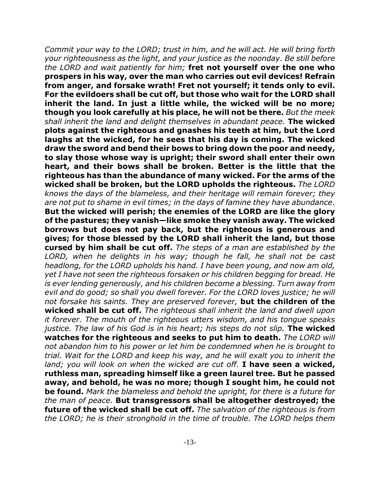*Commit your way to the LORD; trust in him, and he will act. He will bring forth your righteousness as the light, and your justice as the noonday. Be still before the LORD and wait patiently for him;* **fret not yourself over the one who prospers in his way, over the man who carries out evil devices! Refrain from anger, and forsake wrath! Fret not yourself; it tends only to evil. For the evildoers shall be cut off, but those who wait for the LORD shall inherit the land. In just a little while, the wicked will be no more; though you look carefully at his place, he will not be there.** *But the meek shall inherit the land and delight themselves in abundant peace.* **The wicked plots against the righteous and gnashes his teeth at him, but the Lord laughs at the wicked, for he sees that his day is coming. The wicked draw the sword and bend their bows to bring down the poor and needy, to slay those whose way is upright; their sword shall enter their own heart, and their bows shall be broken. Better is the little that the righteous has than the abundance of many wicked. For the arms of the wicked shall be broken, but the LORD upholds the righteous.** *The LORD knows the days of the blameless, and their heritage will remain forever; they are not put to shame in evil times; in the days of famine they have abundance.* **But the wicked will perish; the enemies of the LORD are like the glory of the pastures; they vanish—like smoke they vanish away. The wicked borrows but does not pay back, but the righteous is generous and gives; for those blessed by the LORD shall inherit the land, but those cursed by him shall be cut off.** *The steps of a man are established by the LORD, when he delights in his way; though he fall, he shall not be cast headlong, for the LORD upholds his hand. I have been young, and now am old, yet I have not seen the righteous forsaken or his children begging for bread. He is ever lending generously, and his children become a blessing. Turn away from evil and do good; so shall you dwell forever. For the LORD loves justice; he will not forsake his saints. They are preserved forever,* **but the children of the wicked shall be cut off.** *The righteous shall inherit the land and dwell upon it forever. The mouth of the righteous utters wisdom, and his tongue speaks justice. The law of his God is in his heart; his steps do not slip.* **The wicked watches for the righteous and seeks to put him to death.** *The LORD will not abandon him to his power or let him be condemned when he is brought to trial. Wait for the LORD and keep his way, and he will exalt you to inherit the land; you will look on when the wicked are cut off.* **I have seen a wicked, ruthless man, spreading himself like a green laurel tree. But he passed away, and behold, he was no more; though I sought him, he could not be found.** *Mark the blameless and behold the upright, for there is a future for the man of peace.* **But transgressors shall be altogether destroyed; the future of the wicked shall be cut off.** *The salvation of the righteous is from the LORD; he is their stronghold in the time of trouble. The LORD helps them*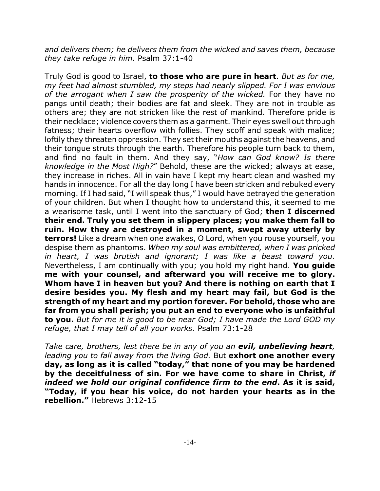*and delivers them; he delivers them from the wicked and saves them, because they take refuge in him.* Psalm 37:1-40

Truly God is good to Israel, **to those who are pure in heart**. *But as for me, my feet had almost stumbled, my steps had nearly slipped. For I was envious of the arrogant when I saw the prosperity of the wicked.* For they have no pangs until death; their bodies are fat and sleek. They are not in trouble as others are; they are not stricken like the rest of mankind. Therefore pride is their necklace; violence covers them as a garment. Their eyes swell out through fatness; their hearts overflow with follies. They scoff and speak with malice; loftily they threaten oppression. They set their mouths against the heavens, and their tongue struts through the earth. Therefore his people turn back to them, and find no fault in them. And they say, "*How can God know? Is there knowledge in the Most High?*" Behold, these are the wicked; always at ease, they increase in riches. All in vain have I kept my heart clean and washed my hands in innocence. For all the day long I have been stricken and rebuked every morning. If I had said, "I will speak thus," I would have betrayed the generation of your children. But when I thought how to understand this, it seemed to me a wearisome task, until I went into the sanctuary of God; **then I discerned their end. Truly you set them in slippery places; you make them fall to ruin. How they are destroyed in a moment, swept away utterly by terrors!** Like a dream when one awakes, O Lord, when you rouse yourself, you despise them as phantoms. *When my soul was embittered, when I was pricked in heart, I was brutish and ignorant; I was like a beast toward you.* Nevertheless, I am continually with you; you hold my right hand. **You guide me with your counsel, and afterward you will receive me to glory. Whom have I in heaven but you? And there is nothing on earth that I desire besides you. My flesh and my heart may fail, but God is the strength of my heart and my portion forever. For behold, those who are far from you shall perish; you put an end to everyone who is unfaithful to you.** *But for me it is good to be near God; I have made the Lord GOD my refuge, that I may tell of all your works.* Psalm 73:1-28

*Take care, brothers, lest there be in any of you an evil, unbelieving heart, leading you to fall away from the living God.* But **exhort one another every day, as long as it is called "today," that none of you may be hardened by the deceitfulness of sin. For we have come to share in Christ,** *if indeed we hold our original confidence firm to the end***. As it is said, "Today, if you hear his voice, do not harden your hearts as in the rebellion."** Hebrews 3:12-15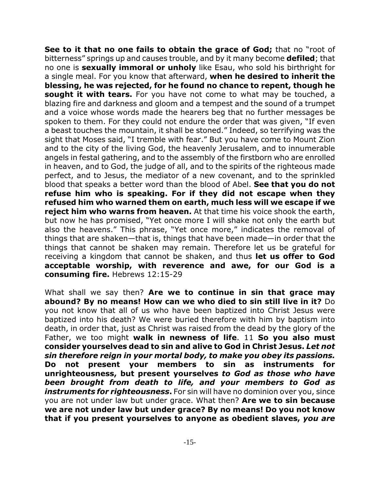**See to it that no one fails to obtain the grace of God;** that no "root of bitterness" springs up and causes trouble, and by it many become **defiled**; that no one is **sexually immoral or unholy** like Esau, who sold his birthright for a single meal. For you know that afterward, **when he desired to inherit the blessing, he was rejected, for he found no chance to repent, though he sought it with tears.** For you have not come to what may be touched, a blazing fire and darkness and gloom and a tempest and the sound of a trumpet and a voice whose words made the hearers beg that no further messages be spoken to them. For they could not endure the order that was given, "If even a beast touches the mountain, it shall be stoned." Indeed, so terrifying was the sight that Moses said, "I tremble with fear." But you have come to Mount Zion and to the city of the living God, the heavenly Jerusalem, and to innumerable angels in festal gathering, and to the assembly of the firstborn who are enrolled in heaven, and to God, the judge of all, and to the spirits of the righteous made perfect, and to Jesus, the mediator of a new covenant, and to the sprinkled blood that speaks a better word than the blood of Abel. **See that you do not refuse him who is speaking. For if they did not escape when they refused him who warned them on earth, much less will we escape if we reject him who warns from heaven.** At that time his voice shook the earth, but now he has promised, "Yet once more I will shake not only the earth but also the heavens." This phrase, "Yet once more," indicates the removal of things that are shaken—that is, things that have been made—in order that the things that cannot be shaken may remain. Therefore let us be grateful for receiving a kingdom that cannot be shaken, and thus **let us offer to God acceptable worship, with reverence and awe, for our God is a consuming fire.** Hebrews 12:15-29

What shall we say then? **Are we to continue in sin that grace may abound? By no means! How can we who died to sin still live in it?** Do you not know that all of us who have been baptized into Christ Jesus were baptized into his death? We were buried therefore with him by baptism into death, in order that, just as Christ was raised from the dead by the glory of the Father, we too might **walk in newness of life**. 11 **So you also must consider yourselves dead to sin and alive to God in Christ Jesus.** *Let not sin therefore reign in your mortal body, to make you obey its passions.* **Do not present your members to sin as instruments for unrighteousness, but present yourselves** *to God as those who have been brought from death to life, and your members to God as instruments for righteousness*. For sin will have no dominion over you, since you are not under law but under grace. What then? **Are we to sin because we are not under law but under grace? By no means! Do you not know that if you present yourselves to anyone as obedient slaves,** *you are*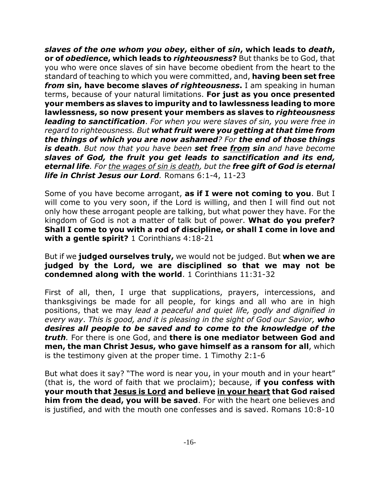*slaves of the one whom you obey***, either of** *sin***, which leads to** *death***, or of** *obedience***, which leads to** *righteousness***?** But thanks be to God, that you who were once slaves of sin have become obedient from the heart to the standard of teaching to which you were committed, and, **having been set free** *from* **sin, have become slaves** *of righteousness***.** I am speaking in human terms, because of your natural limitations. **For just as you once presented your members as slaves to impurity and to lawlessness leading to more lawlessness, so now present your members as slaves to** *righteousness leading to sanctification*. *For when you were slaves of sin, you were free in regard to righteousness. But what fruit were you getting at that time from the things of which you are now ashamed? For the end of those things is death. But now that you have been set free from sin and have become slaves of God, the fruit you get leads to sanctification and its end, eternal life. For the wages of sin is death, but the free gift of God is eternal life in Christ Jesus our Lord.* Romans 6:1-4, 11-23

Some of you have become arrogant, **as if I were not coming to you**. But I will come to you very soon, if the Lord is willing, and then I will find out not only how these arrogant people are talking, but what power they have. For the kingdom of God is not a matter of talk but of power. **What do you prefer? Shall I come to you with a rod of discipline, or shall I come in love and with a gentle spirit?** 1 Corinthians 4:18-21

But if we **judged ourselves truly,** we would not be judged. But **when we are judged by the Lord, we are disciplined so that we may not be condemned along with the world**. 1 Corinthians 11:31-32

First of all, then, I urge that supplications, prayers, intercessions, and thanksgivings be made for all people, for kings and all who are in high positions, that we may *lead a peaceful and quiet life, godly and dignified in every way*. *This is good, and it is pleasing in the sight of God our Savior, who desires all people to be saved and to come to the knowledge of the truth.* For there is one God, and **there is one mediator between God and men, the man Christ Jesus, who gave himself as a ransom for all**, which is the testimony given at the proper time. 1 Timothy 2:1-6

But what does it say? "The word is near you, in your mouth and in your heart" (that is, the word of faith that we proclaim); because, i**f you confess with your mouth that Jesus is Lord and believe in your heart that God raised him from the dead, you will be saved**. For with the heart one believes and is justified, and with the mouth one confesses and is saved. Romans 10:8-10